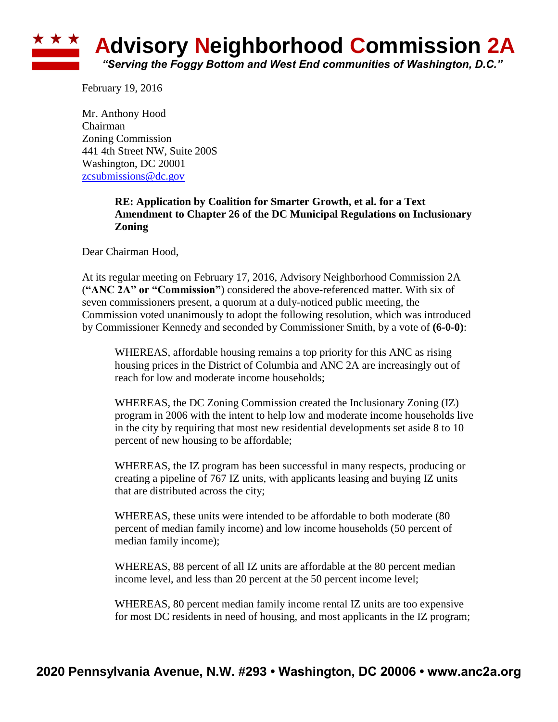## ★ ★ ★ **Advisory Neighborhood Commission 2A** *"Serving the Foggy Bottom and West End communities of Washington, D.C."*

February 19, 2016

Mr. Anthony Hood Chairman Zoning Commission 441 4th Street NW, Suite 200S Washington, DC 20001 [zcsubmissions@dc.gov](mailto:zcsubmissions@dc.gov)

## **RE: Application by Coalition for Smarter Growth, et al. for a Text Amendment to Chapter 26 of the DC Municipal Regulations on Inclusionary Zoning**

Dear Chairman Hood,

At its regular meeting on February 17, 2016, Advisory Neighborhood Commission 2A (**"ANC 2A" or "Commission"**) considered the above-referenced matter. With six of seven commissioners present, a quorum at a duly-noticed public meeting, the Commission voted unanimously to adopt the following resolution, which was introduced by Commissioner Kennedy and seconded by Commissioner Smith, by a vote of **(6-0-0)**:

WHEREAS, affordable housing remains a top priority for this ANC as rising housing prices in the District of Columbia and ANC 2A are increasingly out of reach for low and moderate income households;

WHEREAS, the DC Zoning Commission created the Inclusionary Zoning (IZ) program in 2006 with the intent to help low and moderate income households live in the city by requiring that most new residential developments set aside 8 to 10 percent of new housing to be affordable;

WHEREAS, the IZ program has been successful in many respects, producing or creating a pipeline of 767 IZ units, with applicants leasing and buying IZ units that are distributed across the city;

WHEREAS, these units were intended to be affordable to both moderate (80 percent of median family income) and low income households (50 percent of median family income);

WHEREAS, 88 percent of all IZ units are affordable at the 80 percent median income level, and less than 20 percent at the 50 percent income level;

WHEREAS, 80 percent median family income rental IZ units are too expensive for most DC residents in need of housing, and most applicants in the IZ program;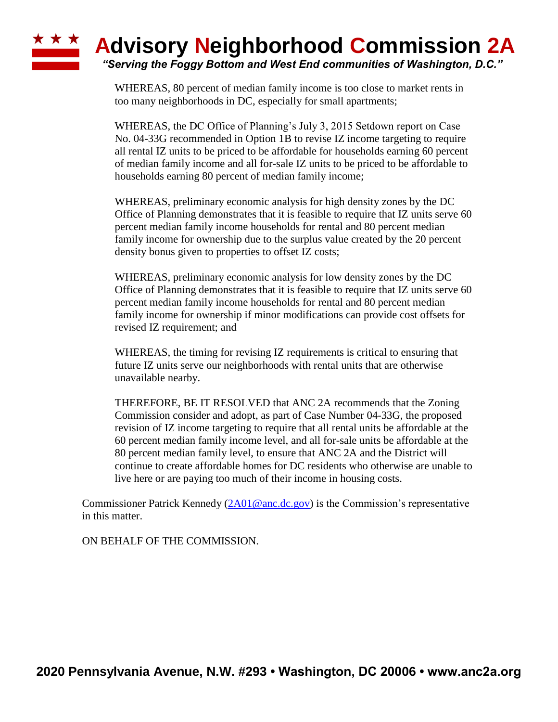## ★ ★ ★ **Advisory Neighborhood Commission 2A** *"Serving the Foggy Bottom and West End communities of Washington, D.C."*

WHEREAS, 80 percent of median family income is too close to market rents in too many neighborhoods in DC, especially for small apartments;

WHEREAS, the DC Office of Planning's July 3, 2015 Setdown report on Case No. 04-33G recommended in Option 1B to revise IZ income targeting to require all rental IZ units to be priced to be affordable for households earning 60 percent of median family income and all for-sale IZ units to be priced to be affordable to households earning 80 percent of median family income;

WHEREAS, preliminary economic analysis for high density zones by the DC Office of Planning demonstrates that it is feasible to require that IZ units serve 60 percent median family income households for rental and 80 percent median family income for ownership due to the surplus value created by the 20 percent density bonus given to properties to offset IZ costs;

WHEREAS, preliminary economic analysis for low density zones by the DC Office of Planning demonstrates that it is feasible to require that IZ units serve 60 percent median family income households for rental and 80 percent median family income for ownership if minor modifications can provide cost offsets for revised IZ requirement; and

WHEREAS, the timing for revising IZ requirements is critical to ensuring that future IZ units serve our neighborhoods with rental units that are otherwise unavailable nearby.

THEREFORE, BE IT RESOLVED that ANC 2A recommends that the Zoning Commission consider and adopt, as part of Case Number 04-33G, the proposed revision of IZ income targeting to require that all rental units be affordable at the 60 percent median family income level, and all for-sale units be affordable at the 80 percent median family level, to ensure that ANC 2A and the District will continue to create affordable homes for DC residents who otherwise are unable to live here or are paying too much of their income in housing costs.

Commissioner Patrick Kennedy [\(2A01@anc.dc.gov\)](mailto:2A01@anc.dc.gov) is the Commission's representative in this matter.

ON BEHALF OF THE COMMISSION.